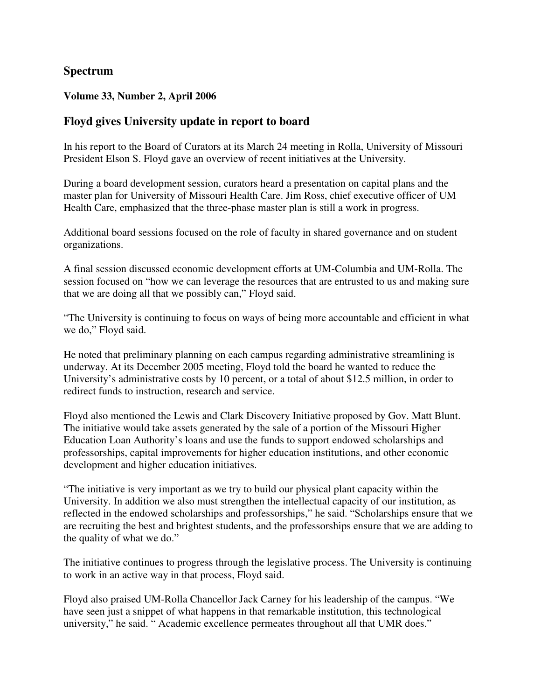# **Spectrum**

## **Volume 33, Number 2, April 2006**

# **Floyd gives University update in report to board**

In his report to the Board of Curators at its March 24 meeting in Rolla, University of Missouri President Elson S. Floyd gave an overview of recent initiatives at the University.

During a board development session, curators heard a presentation on capital plans and the master plan for University of Missouri Health Care. Jim Ross, chief executive officer of UM Health Care, emphasized that the three-phase master plan is still a work in progress.

Additional board sessions focused on the role of faculty in shared governance and on student organizations.

A final session discussed economic development efforts at UM-Columbia and UM-Rolla. The session focused on "how we can leverage the resources that are entrusted to us and making sure that we are doing all that we possibly can," Floyd said.

"The University is continuing to focus on ways of being more accountable and efficient in what we do," Floyd said.

He noted that preliminary planning on each campus regarding administrative streamlining is underway. At its December 2005 meeting, Floyd told the board he wanted to reduce the University's administrative costs by 10 percent, or a total of about \$12.5 million, in order to redirect funds to instruction, research and service.

Floyd also mentioned the Lewis and Clark Discovery Initiative proposed by Gov. Matt Blunt. The initiative would take assets generated by the sale of a portion of the Missouri Higher Education Loan Authority's loans and use the funds to support endowed scholarships and professorships, capital improvements for higher education institutions, and other economic development and higher education initiatives.

"The initiative is very important as we try to build our physical plant capacity within the University. In addition we also must strengthen the intellectual capacity of our institution, as reflected in the endowed scholarships and professorships," he said. "Scholarships ensure that we are recruiting the best and brightest students, and the professorships ensure that we are adding to the quality of what we do."

The initiative continues to progress through the legislative process. The University is continuing to work in an active way in that process, Floyd said.

Floyd also praised UM-Rolla Chancellor Jack Carney for his leadership of the campus. "We have seen just a snippet of what happens in that remarkable institution, this technological university," he said. " Academic excellence permeates throughout all that UMR does."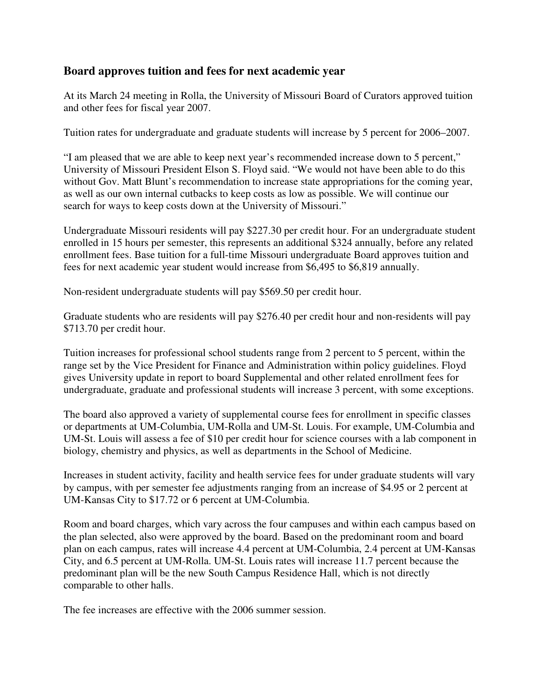# **Board approves tuition and fees for next academic year**

At its March 24 meeting in Rolla, the University of Missouri Board of Curators approved tuition and other fees for fiscal year 2007.

Tuition rates for undergraduate and graduate students will increase by 5 percent for 2006–2007.

"I am pleased that we are able to keep next year's recommended increase down to 5 percent," University of Missouri President Elson S. Floyd said. "We would not have been able to do this without Gov. Matt Blunt's recommendation to increase state appropriations for the coming year, as well as our own internal cutbacks to keep costs as low as possible. We will continue our search for ways to keep costs down at the University of Missouri."

Undergraduate Missouri residents will pay \$227.30 per credit hour. For an undergraduate student enrolled in 15 hours per semester, this represents an additional \$324 annually, before any related enrollment fees. Base tuition for a full-time Missouri undergraduate Board approves tuition and fees for next academic year student would increase from \$6,495 to \$6,819 annually.

Non-resident undergraduate students will pay \$569.50 per credit hour.

Graduate students who are residents will pay \$276.40 per credit hour and non-residents will pay \$713.70 per credit hour.

Tuition increases for professional school students range from 2 percent to 5 percent, within the range set by the Vice President for Finance and Administration within policy guidelines. Floyd gives University update in report to board Supplemental and other related enrollment fees for undergraduate, graduate and professional students will increase 3 percent, with some exceptions.

The board also approved a variety of supplemental course fees for enrollment in specific classes or departments at UM-Columbia, UM-Rolla and UM-St. Louis. For example, UM-Columbia and UM-St. Louis will assess a fee of \$10 per credit hour for science courses with a lab component in biology, chemistry and physics, as well as departments in the School of Medicine.

Increases in student activity, facility and health service fees for under graduate students will vary by campus, with per semester fee adjustments ranging from an increase of \$4.95 or 2 percent at UM-Kansas City to \$17.72 or 6 percent at UM-Columbia.

Room and board charges, which vary across the four campuses and within each campus based on the plan selected, also were approved by the board. Based on the predominant room and board plan on each campus, rates will increase 4.4 percent at UM-Columbia, 2.4 percent at UM-Kansas City, and 6.5 percent at UM-Rolla. UM-St. Louis rates will increase 11.7 percent because the predominant plan will be the new South Campus Residence Hall, which is not directly comparable to other halls.

The fee increases are effective with the 2006 summer session.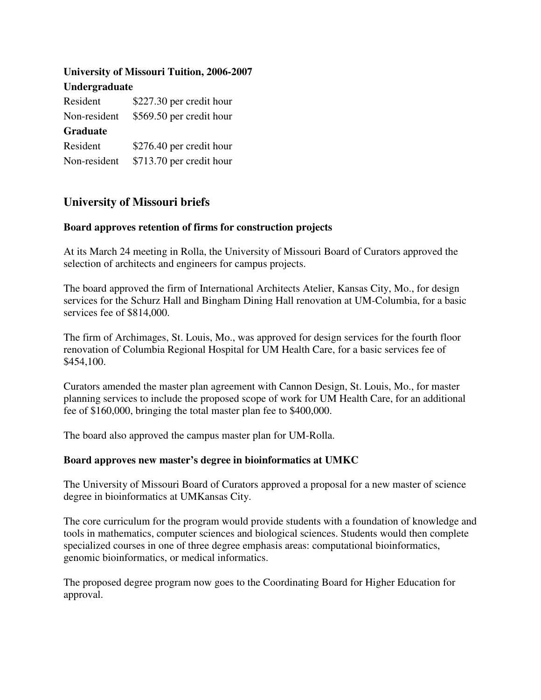| <b>University of Missouri Tuition, 2006-2007</b><br>Undergraduate |                          |
|-------------------------------------------------------------------|--------------------------|
|                                                                   |                          |
| Non-resident                                                      | \$569.50 per credit hour |
| <b>Graduate</b>                                                   |                          |
| Resident                                                          | \$276.40 per credit hour |
| Non-resident                                                      | \$713.70 per credit hour |

# **University of Missouri briefs**

### **Board approves retention of firms for construction projects**

At its March 24 meeting in Rolla, the University of Missouri Board of Curators approved the selection of architects and engineers for campus projects.

The board approved the firm of International Architects Atelier, Kansas City, Mo., for design services for the Schurz Hall and Bingham Dining Hall renovation at UM-Columbia, for a basic services fee of \$814,000.

The firm of Archimages, St. Louis, Mo., was approved for design services for the fourth floor renovation of Columbia Regional Hospital for UM Health Care, for a basic services fee of \$454,100.

Curators amended the master plan agreement with Cannon Design, St. Louis, Mo., for master planning services to include the proposed scope of work for UM Health Care, for an additional fee of \$160,000, bringing the total master plan fee to \$400,000.

The board also approved the campus master plan for UM-Rolla.

## **Board approves new master's degree in bioinformatics at UMKC**

The University of Missouri Board of Curators approved a proposal for a new master of science degree in bioinformatics at UMKansas City.

The core curriculum for the program would provide students with a foundation of knowledge and tools in mathematics, computer sciences and biological sciences. Students would then complete specialized courses in one of three degree emphasis areas: computational bioinformatics, genomic bioinformatics, or medical informatics.

The proposed degree program now goes to the Coordinating Board for Higher Education for approval.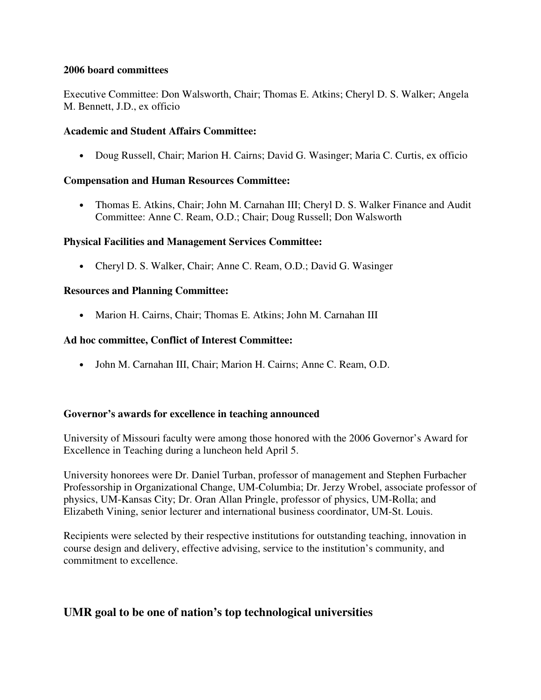#### **2006 board committees**

Executive Committee: Don Walsworth, Chair; Thomas E. Atkins; Cheryl D. S. Walker; Angela M. Bennett, J.D., ex officio

### **Academic and Student Affairs Committee:**

• Doug Russell, Chair; Marion H. Cairns; David G. Wasinger; Maria C. Curtis, ex officio

## **Compensation and Human Resources Committee:**

• Thomas E. Atkins, Chair; John M. Carnahan III; Cheryl D. S. Walker Finance and Audit Committee: Anne C. Ream, O.D.; Chair; Doug Russell; Don Walsworth

### **Physical Facilities and Management Services Committee:**

• Cheryl D. S. Walker, Chair; Anne C. Ream, O.D.; David G. Wasinger

### **Resources and Planning Committee:**

• Marion H. Cairns, Chair; Thomas E. Atkins; John M. Carnahan III

### **Ad hoc committee, Conflict of Interest Committee:**

• John M. Carnahan III, Chair; Marion H. Cairns; Anne C. Ream, O.D.

#### **Governor's awards for excellence in teaching announced**

University of Missouri faculty were among those honored with the 2006 Governor's Award for Excellence in Teaching during a luncheon held April 5.

University honorees were Dr. Daniel Turban, professor of management and Stephen Furbacher Professorship in Organizational Change, UM-Columbia; Dr. Jerzy Wrobel, associate professor of physics, UM-Kansas City; Dr. Oran Allan Pringle, professor of physics, UM-Rolla; and Elizabeth Vining, senior lecturer and international business coordinator, UM-St. Louis.

Recipients were selected by their respective institutions for outstanding teaching, innovation in course design and delivery, effective advising, service to the institution's community, and commitment to excellence.

# **UMR goal to be one of nation's top technological universities**